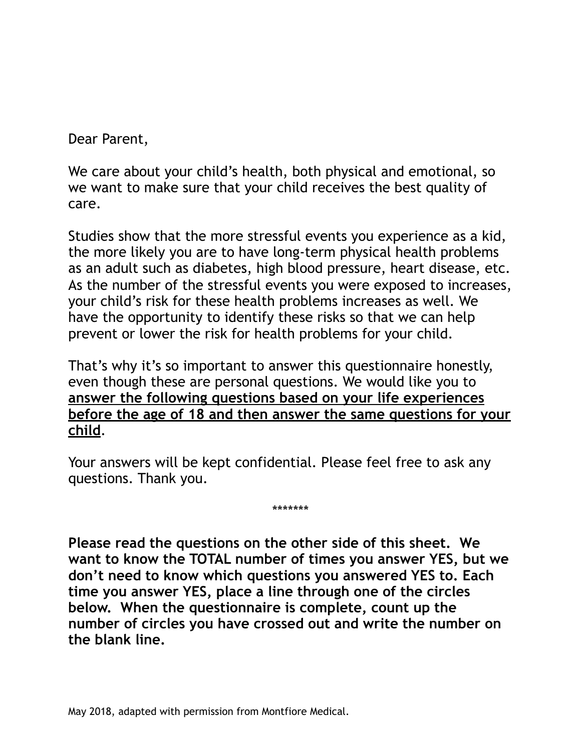Dear Parent,

We care about your child's health, both physical and emotional, so we want to make sure that your child receives the best quality of care.

Studies show that the more stressful events you experience as a kid, the more likely you are to have long-term physical health problems as an adult such as diabetes, high blood pressure, heart disease, etc. As the number of the stressful events you were exposed to increases, your child's risk for these health problems increases as well. We have the opportunity to identify these risks so that we can help prevent or lower the risk for health problems for your child.

That's why it's so important to answer this questionnaire honestly, even though these are personal questions. We would like you to **answer the following questions based on your life experiences before the age of 18 and then answer the same questions for your child**.

Your answers will be kept confidential. Please feel free to ask any questions. Thank you.

\*\*\*\*\*\*\*

**Please read the questions on the other side of this sheet. We want to know the TOTAL number of times you answer YES, but we don't need to know which questions you answered YES to. Each time you answer YES, place a line through one of the circles below. When the questionnaire is complete, count up the number of circles you have crossed out and write the number on the blank line.**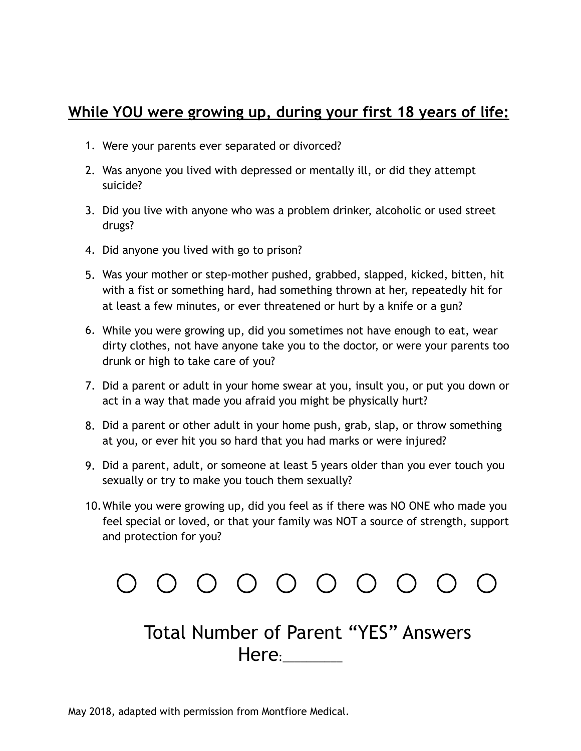## **While YOU were growing up, during your first 18 years of life:**

- 1. Were your parents ever separated or divorced?
- 2. Was anyone you lived with depressed or mentally ill, or did they attempt suicide?
- 3. Did you live with anyone who was a problem drinker, alcoholic or used street drugs?
- 4. Did anyone you lived with go to prison?
- 5. Was your mother or step-mother pushed, grabbed, slapped, kicked, bitten, hit with a fist or something hard, had something thrown at her, repeatedly hit for at least a few minutes, or ever threatened or hurt by a knife or a gun?
- 6. While you were growing up, did you sometimes not have enough to eat, wear dirty clothes, not have anyone take you to the doctor, or were your parents too drunk or high to take care of you?
- 7. Did a parent or adult in your home swear at you, insult you, or put you down or act in a way that made you afraid you might be physically hurt?
- 8. Did a parent or other adult in your home push, grab, slap, or throw something at you, or ever hit you so hard that you had marks or were injured?
- 9. Did a parent, adult, or someone at least 5 years older than you ever touch you sexually or try to make you touch them sexually?
- 10.While you were growing up, did you feel as if there was NO ONE who made you feel special or loved, or that your family was NOT a source of strength, support and protection for you?



## Total Number of Parent "YES" Answers Here:\_\_\_\_\_\_\_\_\_\_